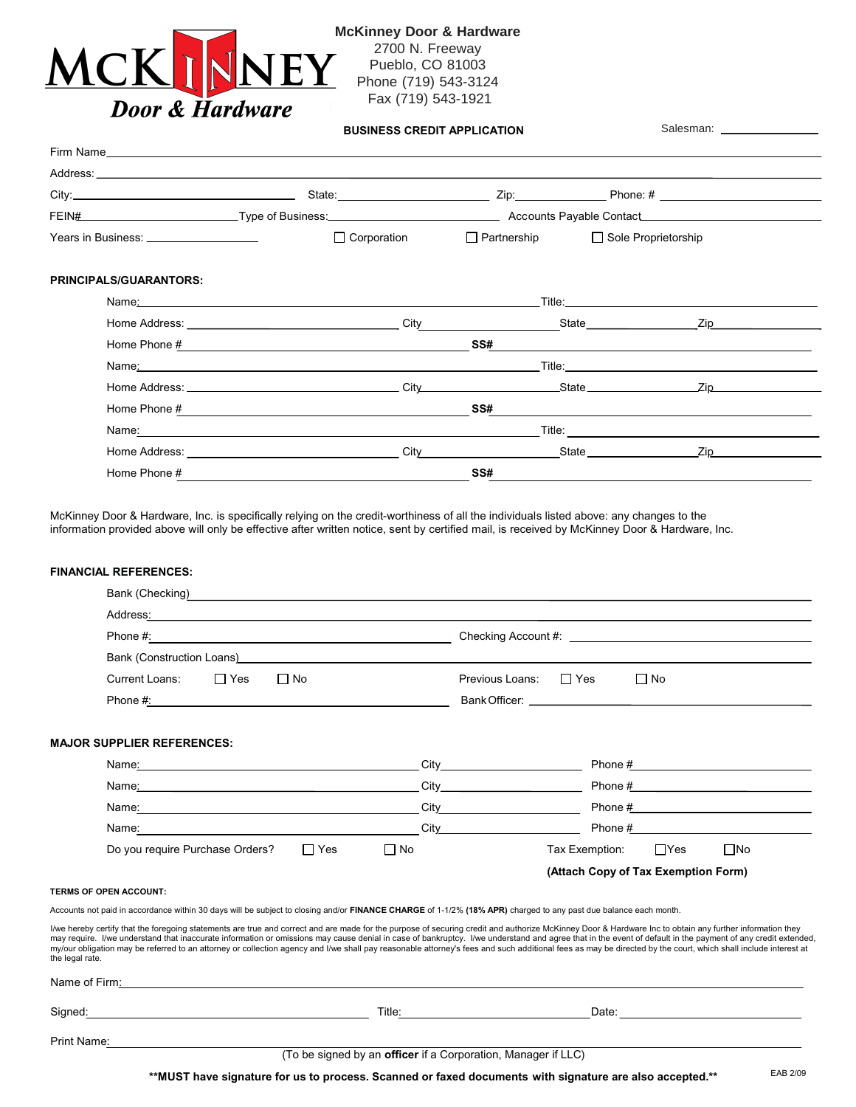

**McKinney Door & Hardware** 2700 N. Freeway Pueblo, CO 81003 Phone (719) 543-3124 Fax (719) 543-1921

|                                                                                                                                                                                                                                | <b>BUSINESS CREDIT APPLICATION</b>                                                                                                                                                                                                                                                                                     |                    | Salesman: __________________    |                                                                                                                                                                                                                                                                                                                                                                                                                |  |  |
|--------------------------------------------------------------------------------------------------------------------------------------------------------------------------------------------------------------------------------|------------------------------------------------------------------------------------------------------------------------------------------------------------------------------------------------------------------------------------------------------------------------------------------------------------------------|--------------------|---------------------------------|----------------------------------------------------------------------------------------------------------------------------------------------------------------------------------------------------------------------------------------------------------------------------------------------------------------------------------------------------------------------------------------------------------------|--|--|
|                                                                                                                                                                                                                                |                                                                                                                                                                                                                                                                                                                        |                    |                                 |                                                                                                                                                                                                                                                                                                                                                                                                                |  |  |
|                                                                                                                                                                                                                                |                                                                                                                                                                                                                                                                                                                        |                    |                                 |                                                                                                                                                                                                                                                                                                                                                                                                                |  |  |
|                                                                                                                                                                                                                                |                                                                                                                                                                                                                                                                                                                        |                    |                                 |                                                                                                                                                                                                                                                                                                                                                                                                                |  |  |
| FEIN# CONTENT Transformation of Europe of Business: Content Transformation of Accounts Payable Contact Content Content Content Content Content Content Content Content Content Content Content Content Content Content Content |                                                                                                                                                                                                                                                                                                                        |                    |                                 |                                                                                                                                                                                                                                                                                                                                                                                                                |  |  |
|                                                                                                                                                                                                                                |                                                                                                                                                                                                                                                                                                                        | $\Box$ Corporation |                                 | □ Partnership □ Sole Proprietorship                                                                                                                                                                                                                                                                                                                                                                            |  |  |
| <b>PRINCIPALS/GUARANTORS:</b>                                                                                                                                                                                                  |                                                                                                                                                                                                                                                                                                                        |                    |                                 |                                                                                                                                                                                                                                                                                                                                                                                                                |  |  |
|                                                                                                                                                                                                                                | Name: Name: 2008. And 2008. And 2008. And 2008. And 2008. And 2008. And 2008. And 2008. And 2008. And 2008. And 2008. And 2008. And 2008. And 2008. And 2008. And 2008. And 2008. And 2008. And 2008. And 2008. And 2008. And                                                                                          |                    |                                 |                                                                                                                                                                                                                                                                                                                                                                                                                |  |  |
|                                                                                                                                                                                                                                | Home Address: The Contract of the Contract of the Contract of the Contract of the Contract of the Contract of the Contract of the Contract of the Contract of the Contract of the Contract of the Contract of the Contract of                                                                                          |                    | City City State City State City |                                                                                                                                                                                                                                                                                                                                                                                                                |  |  |
|                                                                                                                                                                                                                                |                                                                                                                                                                                                                                                                                                                        |                    |                                 | $SS#$                                                                                                                                                                                                                                                                                                                                                                                                          |  |  |
|                                                                                                                                                                                                                                | Name <u>: 2008 - 2008 - 2008 - 2008 - 2008 - 2008 - 2008 - 2008 - 2008 - 2008 - 2008 - 2008 - 2008 - 2008 - 2008 - 2008 - 2008 - 2008 - 2008 - 2008 - 2008 - 2008 - 2008 - 2008 - 2008 - 2008 - 2008 - 2008 - 2008 - 2008 - 2008 </u>                                                                                  |                    |                                 |                                                                                                                                                                                                                                                                                                                                                                                                                |  |  |
|                                                                                                                                                                                                                                |                                                                                                                                                                                                                                                                                                                        |                    |                                 |                                                                                                                                                                                                                                                                                                                                                                                                                |  |  |
|                                                                                                                                                                                                                                | Home Phone $\frac{\mu}{2}$ and $\frac{\mu}{2}$ and $\frac{\mu}{2}$ and $\frac{\mu}{2}$ and $\frac{\mu}{2}$ and $\frac{\mu}{2}$ and $\frac{\mu}{2}$ and $\frac{\mu}{2}$ and $\frac{\mu}{2}$ and $\frac{\mu}{2}$ and $\frac{\mu}{2}$ and $\frac{\mu}{2}$ and $\frac{\mu}{2}$ and $\frac{\mu}{2}$ and $\frac{\mu}{2}$ and |                    |                                 | $SS#$ and $\overline{\phantom{a}}$ and $\overline{\phantom{a}}$ and $\overline{\phantom{a}}$ and $\overline{\phantom{a}}$ and $\overline{\phantom{a}}$ and $\overline{\phantom{a}}$ and $\overline{\phantom{a}}$ and $\overline{\phantom{a}}$ and $\overline{\phantom{a}}$ and $\overline{\phantom{a}}$ and $\overline{\phantom{a}}$ and $\overline{\phantom{a}}$ and $\overline{\phantom{a}}$ and $\overline$ |  |  |
|                                                                                                                                                                                                                                | Name <u>: 2008 - 2008 - 2008 - 2008 - 2008 - 2008 - 2008 - 2008 - 2008 - 2008 - 2008 - 2008 - 2008 - 2008 - 2008 - 2008 - 2008 - 2008 - 2008 - 2008 - 2008 - 2008 - 2008 - 2008 - 2008 - 2008 - 2008 - 2008 - 2008 - 2008 - 2008 </u>                                                                                  |                    |                                 |                                                                                                                                                                                                                                                                                                                                                                                                                |  |  |
|                                                                                                                                                                                                                                |                                                                                                                                                                                                                                                                                                                        |                    | City State Zip                  |                                                                                                                                                                                                                                                                                                                                                                                                                |  |  |
| Home Phone #                                                                                                                                                                                                                   |                                                                                                                                                                                                                                                                                                                        |                    | SS#                             |                                                                                                                                                                                                                                                                                                                                                                                                                |  |  |

McKinney Door & Hardware, Inc. is specifically relying on the credit-worthiness of all the individuals listed above: any changes to the information provided above will only be effective after written notice, sent by certified mail, is received by McKinney Door & Hardware, Inc.

## **FINANCIAL REFERENCES:**

| Bank (Checking)<br><u>Bank (Checking)</u>                                                                                                                                                                                          |                                                                                                                                                                                                                                                                                                                                                                                                                                                                                                                                                                                                                                          |  |  |  |
|------------------------------------------------------------------------------------------------------------------------------------------------------------------------------------------------------------------------------------|------------------------------------------------------------------------------------------------------------------------------------------------------------------------------------------------------------------------------------------------------------------------------------------------------------------------------------------------------------------------------------------------------------------------------------------------------------------------------------------------------------------------------------------------------------------------------------------------------------------------------------------|--|--|--|
|                                                                                                                                                                                                                                    |                                                                                                                                                                                                                                                                                                                                                                                                                                                                                                                                                                                                                                          |  |  |  |
| Phone #: 2008 2012 2022 2022 2023 2024 2022 2022 2023 2024 2022 2023 2024 2022 2023 2024 2022 2023 2024 2022 20                                                                                                                    |                                                                                                                                                                                                                                                                                                                                                                                                                                                                                                                                                                                                                                          |  |  |  |
| Bank (Construction Loans) <b>Example 20</b> Second 1 and 20 Second 1 and 20 Second 1 and 20 Second 1 and 20 Second 1 and 20 Second 1 and 20 Second 1 and 20 Second 1 and 20 Second 1 and 20 Second 1 and 20 Second 1 and 20 Second |                                                                                                                                                                                                                                                                                                                                                                                                                                                                                                                                                                                                                                          |  |  |  |
| <b>Current Loans:</b><br>$\Box$ Yes<br>$\Box$ No                                                                                                                                                                                   | $\Box$ Yes<br>$\Box$ No<br>Previous Loans:                                                                                                                                                                                                                                                                                                                                                                                                                                                                                                                                                                                               |  |  |  |
|                                                                                                                                                                                                                                    |                                                                                                                                                                                                                                                                                                                                                                                                                                                                                                                                                                                                                                          |  |  |  |
| <b>MAJOR SUPPLIER REFERENCES:</b>                                                                                                                                                                                                  |                                                                                                                                                                                                                                                                                                                                                                                                                                                                                                                                                                                                                                          |  |  |  |
|                                                                                                                                                                                                                                    | $City$ and $City$ and $City$ and $City$ and $City$ and $City$ and $City$ and $City$ and $City$ and $City$ and $City$ and $City$ and $City$ and $City$ and $City$ and $City$ and $Cty$ and $Cty$ and $Cty$ and $Cty$ and $Cty$ and $Cty$ and $Cty$ and $Cty$ and $Cty$<br>Phone $\frac{\mu}{\mu}$ Phone $\frac{\mu}{\mu}$ Phone $\frac{\mu}{\mu}$                                                                                                                                                                                                                                                                                         |  |  |  |
| Name <u>:</u> 2008 2014 2022 2022 2023 2024 2022 2022 2023 2024 2022 2023 2024 2022 2023 2024 2022 2023 2024 2022 2024 20                                                                                                          |                                                                                                                                                                                                                                                                                                                                                                                                                                                                                                                                                                                                                                          |  |  |  |
| Name: Name and the state of the state of the state of the state of the state of the state of the state of the state of the state of the state of the state of the state of the state of the state of the state of the state of     | $City$ and $City$ and $City$ and $City$ and $City$ and $City$ and $City$ and $City$ and $City$ and $City$ and $City$ and $City$ and $Cty$ and $Cty$ and $Cty$ and $Cty$ and $Cty$ and $Cty$ and $Cty$ and $Cty$ and $Cty$ and $Cty$ and $Cty$ and $Cty$ and $Cty$                                                                                                                                                                                                                                                                                                                                                                        |  |  |  |
|                                                                                                                                                                                                                                    | Phone $\#$<br>City <b>City</b>                                                                                                                                                                                                                                                                                                                                                                                                                                                                                                                                                                                                           |  |  |  |
| $\Box$ No<br>Do you require Purchase Orders?<br>$\Box$ Yes                                                                                                                                                                         | $\Box$ Yes<br>$\square$ No<br>Tax Exemption:                                                                                                                                                                                                                                                                                                                                                                                                                                                                                                                                                                                             |  |  |  |
|                                                                                                                                                                                                                                    | (Attach Copy of Tax Exemption Form)                                                                                                                                                                                                                                                                                                                                                                                                                                                                                                                                                                                                      |  |  |  |
| <b>TERMS OF OPEN ACCOUNT:</b>                                                                                                                                                                                                      |                                                                                                                                                                                                                                                                                                                                                                                                                                                                                                                                                                                                                                          |  |  |  |
| Accounts not paid in accordance within 30 days will be subject to closing and/or FINANCE CHARGE of 1-1/2% (18% APR) charged to any past due balance each month.                                                                    |                                                                                                                                                                                                                                                                                                                                                                                                                                                                                                                                                                                                                                          |  |  |  |
| the legal rate.                                                                                                                                                                                                                    | I/we hereby certify that the foregoing statements are true and correct and are made for the purpose of securing credit and authorize McKinney Door & Hardware Inc to obtain any further information they<br>may require. I/we understand that inaccurate information or omissions may cause denial in case of bankruptcy. I/we understand and agree that in the event of default in the payment of any credit extended.<br>my/our obligation may be referred to an attorney or collection agency and I/we shall pay reasonable attorney's fees and such additional fees as may be directed by the court, which shall include interest at |  |  |  |
| Name of Firm: Name of Firms and the contract of the contract of the contract of the contract of the contract of the contract of the contract of the contract of the contract of the contract of the contract of the contract o     |                                                                                                                                                                                                                                                                                                                                                                                                                                                                                                                                                                                                                                          |  |  |  |
| Signed: Signed:                                                                                                                                                                                                                    | Title: Title: The Commission of the Commission of the Commission of the Commission of the Commission of the Commission of the Commission of the Commission of the Commission of the Commission of the Commission of the Commis                                                                                                                                                                                                                                                                                                                                                                                                           |  |  |  |
| Print Name: Name: Name of Section 1 and Section 1 and Section 1 and Section 1 and Section 1 and Section 1 and Section 1 and Section 1 and Section 1 and Section 1 and Section 1 and Section 1 and Section 1 and Section 1 and      |                                                                                                                                                                                                                                                                                                                                                                                                                                                                                                                                                                                                                                          |  |  |  |
|                                                                                                                                                                                                                                    | (To be signed by an officer if a Corporation, Manager if LLC)                                                                                                                                                                                                                                                                                                                                                                                                                                                                                                                                                                            |  |  |  |